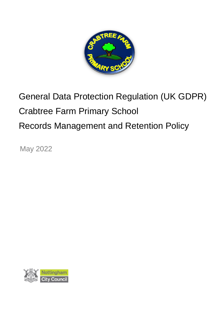

# General Data Protection Regulation (UK GDPR) Crabtree Farm Primary School Records Management and Retention Policy

May 2022

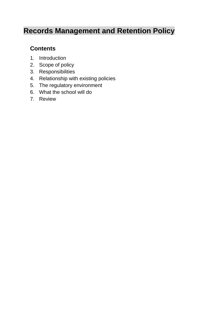# **Records Management and Retention Policy**

# **Contents**

- 1. Introduction
- 2. Scope of policy
- 3. Responsibilities
- 4. Relationship with existing policies
- 5. The regulatory environment
- 6. What the school will do
- 7. Review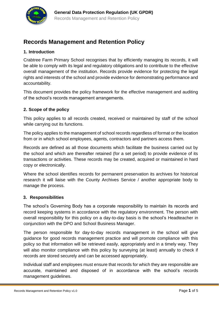

## **Records Management and Retention Policy**

#### **1. Introduction**

Crabtree Farm Primary School recognises that by efficiently managing its records, it will be able to comply with its legal and regulatory obligations and to contribute to the effective overall management of the institution. Records provide evidence for protecting the legal rights and interests of the school and provide evidence for demonstrating performance and accountability.

This document provides the policy framework for the effective management and auditing of the school's records management arrangements.

#### **2. Scope of the policy**

This policy applies to all records created, received or maintained by staff of the school while carrying out its functions.

The policy applies to the management of school records regardless of format or the location from or in which school employees, agents, contractors and partners access them.

Records are defined as all those documents which facilitate the business carried out by the school and which are thereafter retained (for a set period) to provide evidence of its transactions or activities. These records may be created, acquired or maintained in hard copy or electronically.

Where the school identifies records for permanent preservation its archives for historical research it will liaise with the County Archives Service / another appropriate body to manage the process.

#### **3. Responsibilities**

The school's Governing Body has a corporate responsibility to maintain its records and record keeping systems in accordance with the regulatory environment. The person with overall responsibility for this policy on a day-to-day basis is the school's Headteacher in conjunction with the DPO and School Business Manager.

The person responsible for day-to-day records management in the school will give guidance for good records management practice and will promote compliance with this policy so that information will be retrieved easily, appropriately and in a timely way. They will also monitor compliance with this policy by surveying (at least) annually to check if records are stored securely and can be accessed appropriately.

Individual staff and employees must ensure that records for which they are responsible are accurate, maintained and disposed of in accordance with the school's records management guidelines.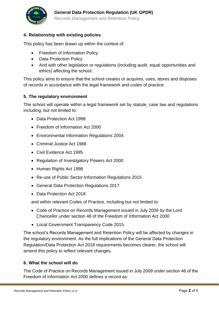

#### **4. Relationship with existing policies**

This policy has been drawn up within the context of:

- Freedom of Information Policy
- Data Protection Policy
- And with other legislation or regulations (including audit, equal opportunities and ethics) affecting the school.

This policy aims to ensure that the school creates or acquires, uses, stores and disposes of records in accordance with the legal framework and codes of practice.

#### **5. The regulatory environment**

The school will operate within a legal framework set by statute, case law and regulations including, but not limited to:

- Data Protection Act 1998
- Freedom of Information Act 2000
- Environmental Information Regulations 2004
- Criminal Justice Act 1988
- Civil Evidence Act 1995
- Regulation of Investigatory Powers Act 2000
- Human Rights Act 1998
- Re-use of Public Sector Information Regulations 2015
- General Data Protection Regulations 2017
- Data Protection Act 2018

and within relevant Codes of Practice, including but not limited to:

- Code of Practice on Records Management issued in July 2009 by the Lord Chancellor under section 46 of the Freedom of Information Act 2000
- Local Government Transparency Code 2015.

The school's Records Management and Retention Policy will be affected by changes in the regulatory environment. As the full implications of the General Data Protection Regulation/Data Protection Act 2018 requirements becomes clearer, the school will amend this policy to reflect relevant changes.

#### **6. What the school will do**

The Code of Practice on Records Management issued in July 2009 under section 46 of the Freedom of Information Act 2000 defines a record as: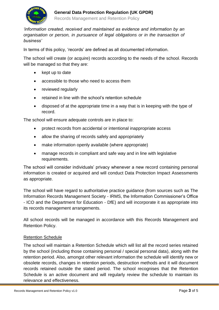

*'information created, received and maintained as evidence and information by an organisation or person, in pursuance of legal obligations or in the transaction of business'*

In terms of this policy, 'records' are defined as all documented information.

The school will create (or acquire) records according to the needs of the school. Records will be managed so that they are:

- kept up to date
- accessible to those who need to access them
- reviewed regularly
- retained in line with the school's retention schedule
- disposed of at the appropriate time in a way that is in keeping with the type of record.

The school will ensure adequate controls are in place to:

- protect records from accidental or intentional inappropriate access
- allow the sharing of records safely and appropriately
- make information openly available (where appropriate)
- manage records in compliant and safe way and in line with legislative requirements.

The school will consider individuals' privacy whenever a new record containing personal information is created or acquired and will conduct Data Protection Impact Assessments as appropriate.

The school will have regard to authoritative practice guidance (from sources such as The Information Records Management Society - IRMS, the Information Commissioner's Office - ICO and the Department for Education - DfE) and will incorporate it as appropriate into its records management arrangements.

All school records will be managed in accordance with this Records Management and Retention Policy.

#### Retention Schedule

The school will maintain a Retention Schedule which will list all the record series retained by the school (including those containing personal / special personal data), along with the retention period. Also, amongst other relevant information the schedule will identify new or obsolete records, changes in retention periods, destruction methods and it will document records retained outside the stated period. The school recognises that the Retention Schedule is an active document and will regularly review the schedule to maintain its relevance and effectiveness.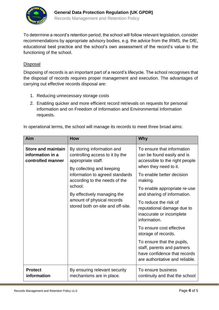

To determine a record's retention period, the school will follow relevant legislation, consider recommendations by appropriate advisory bodies, e.g. the advice from the IRMS, the DfE, educational best practice and the school's own assessment of the record's value to the functioning of the school.

#### Disposal

Disposing of records is an important part of a record's lifecycle. The school recognises that the disposal of records requires proper management and execution. The advantages of carrying out effective records disposal are:

- 1. Reducing unnecessary storage costs
- 2. Enabling quicker and more efficient record retrievals on requests for personal information and on Freedom of Information and Environmental Information requests.

| Aim                                                                | <b>How</b>                                                                                                                                                                                                                                                                                        | Why                                                                                                                                                                                                                                                                                                                                                                                                                                                                                                              |
|--------------------------------------------------------------------|---------------------------------------------------------------------------------------------------------------------------------------------------------------------------------------------------------------------------------------------------------------------------------------------------|------------------------------------------------------------------------------------------------------------------------------------------------------------------------------------------------------------------------------------------------------------------------------------------------------------------------------------------------------------------------------------------------------------------------------------------------------------------------------------------------------------------|
| <b>Store and maintain</b><br>information in a<br>controlled manner | By storing information and<br>controlling access to it by the<br>appropriate staff.<br>By collecting and keeping<br>information to agreed standards<br>according to the needs of the<br>school.<br>By effectively managing the<br>amount of physical records<br>stored both on-site and off-site. | To ensure that information<br>can be found easily and is<br>accessible to the right people<br>when they need to it.<br>To enable better decision<br>making.<br>To enable appropriate re-use<br>and sharing of information.<br>To reduce the risk of<br>reputational damage due to<br>inaccurate or incomplete<br>information.<br>To ensure cost effective<br>storage of records.<br>To ensure that the pupils,<br>staff, parents and partners<br>have confidence that records<br>are authoritative and reliable. |
| <b>Protect</b><br>information                                      | By ensuring relevant security<br>mechanisms are in place.                                                                                                                                                                                                                                         | To ensure business<br>continuity and that the school                                                                                                                                                                                                                                                                                                                                                                                                                                                             |

In operational terms, the school will manage its records to meet three broad aims: